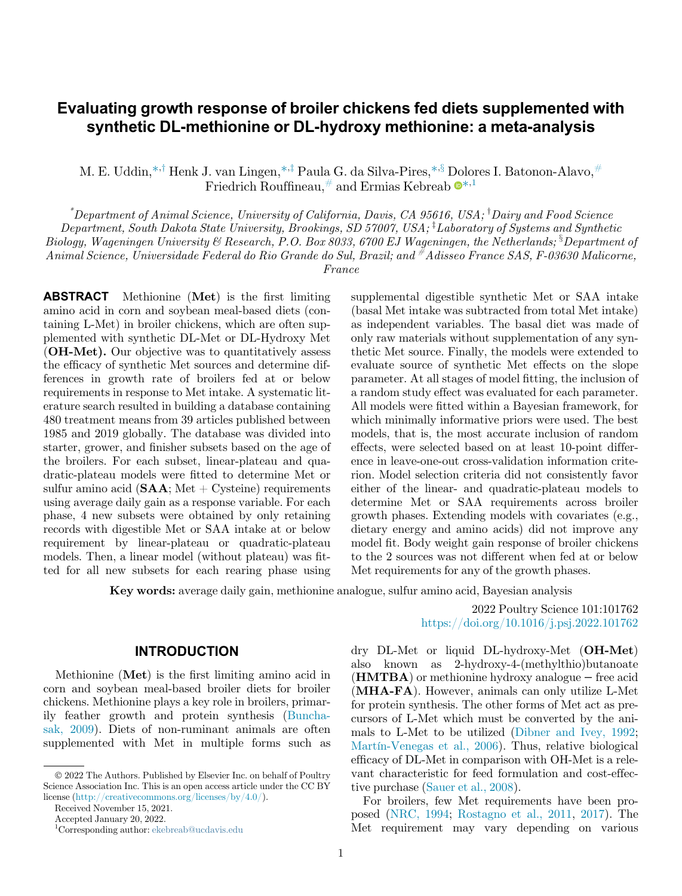# Evaluating growth response of broiler chickens fed diets supplemented with synthetic DL-methionine or DL-hydroxy methionine: a meta-analysis

M. E. Uddin,<sup>[\\*,](#page-0-0)†</sup> Henk J. van Lingen,<sup>\*,‡</sup> Paula G. da Silva-Pires,<sup>\*,§</sup> Dolores I. Batonon-Alavo,<sup>[#](#page-0-3)</sup> Friedrich Rouffineau,  $\#$  $\#$  and Ermias Kebreab  $\bullet^{*,1}$  $\bullet^{*,1}$  $\bullet^{*,1}$ 

 $^*$ Department of Animal Science, University of California, Davis, CA 95616, USA;  $^{\dagger}$ Dairy and Food Science

 $Department, South Dakota State University, Brooksings, SD 57007, USA; <sup>†</sup>Laboratory of Systems and Synthetic$ 

<span id="page-0-2"></span><span id="page-0-1"></span><span id="page-0-0"></span>Biology, Wageningen University & Research, P.O. Box 8033, 6700 EJ Wageningen, the Netherlands;  ${}^{8}$ Department of

<span id="page-0-3"></span>Animal Science, Universidade Federal do Rio Grande do Sul, Brazil; and #Adisseo France SAS, F-03630 Malicorne,

France

ABSTRACT Methionine (Met) is the first limiting amino acid in corn and soybean meal-based diets (containing L-Met) in broiler chickens, which are often supplemented with synthetic DL-Met or DL-Hydroxy Met (OH-Met). Our objective was to quantitatively assess the efficacy of synthetic Met sources and determine differences in growth rate of broilers fed at or below requirements in response to Met intake. A systematic literature search resulted in building a database containing 480 treatment means from 39 articles published between 1985 and 2019 globally. The database was divided into starter, grower, and finisher subsets based on the age of the broilers. For each subset, linear-plateau and quadratic-plateau models were fitted to determine Met or sulfur amino acid  $(SAA; Met + Cysteine)$  requirements using average daily gain as a response variable. For each phase, 4 new subsets were obtained by only retaining records with digestible Met or SAA intake at or below requirement by linear-plateau or quadratic-plateau models. Then, a linear model (without plateau) was fitted for all new subsets for each rearing phase using

supplemental digestible synthetic Met or SAA intake (basal Met intake was subtracted from total Met intake) as independent variables. The basal diet was made of only raw materials without supplementation of any synthetic Met source. Finally, the models were extended to evaluate source of synthetic Met effects on the slope parameter. At all stages of model fitting, the inclusion of a random study effect was evaluated for each parameter. All models were fitted within a Bayesian framework, for which minimally informative priors were used. The best models, that is, the most accurate inclusion of random effects, were selected based on at least 10-point difference in leave-one-out cross-validation information criterion. Model selection criteria did not consistently favor either of the linear- and quadratic-plateau models to determine Met or SAA requirements across broiler growth phases. Extending models with covariates (e.g., dietary energy and amino acids) did not improve any model fit. Body weight gain response of broiler chickens to the 2 sources was not different when fed at or below Met requirements for any of the growth phases.

Key words: average daily gain, methionine analogue, sulfur amino acid, Bayesian analysis

### INTRODUCTION

Methionine (Met) is the first limiting amino acid in corn and soybean meal-based broiler diets for broiler chickens. Methionine plays a key role in broilers, primarily feather growth and protein synthesis [\(Buncha](#page-8-0)[sak, 2009](#page-8-0)). Diets of non-ruminant animals are often supplemented with Met in multiple forms such as

2022 Poultry Science 101:101762 <https://doi.org/10.1016/j.psj.2022.101762>

dry DL-Met or liquid DL-hydroxy-Met (OH-Met) also known as 2-hydroxy-4-(methylthio)butanoate (HMTBA) or methionine hydroxy analogue − free acid (MHA-FA). However, animals can only utilize L-Met for protein synthesis. The other forms of Met act as precursors of L-Met which must be converted by the animals to L-Met to be utilized [\(Dibner and Ivey, 1992](#page-8-1); [Martín-Venegas et al., 2006\)](#page-9-0). Thus, relative biological efficacy of DL-Met in comparison with OH-Met is a relevant characteristic for feed formulation and cost-effective purchase ([Sauer et al., 2008\)](#page-9-1).

For broilers, few Met requirements have been proposed [\(NRC, 1994](#page-9-2); [Rostagno et al., 2011,](#page-9-3) [2017](#page-9-4)). The Met requirement may vary depending on various

2022 The Authors. Published by Elsevier Inc. on behalf of Poultry Science Association Inc. This is an open access article under the CC BY license [\(http://creativecommons.org/licenses/by/4.0/](http://creativecommons.org/licenses/by/4.0/)).

Received November 15, 2021.

Accepted January 20, 2022.

<sup>1</sup> Corresponding author: [ekebreab@ucdavis.edu](mailto:ekebreab@ucdavis.edu)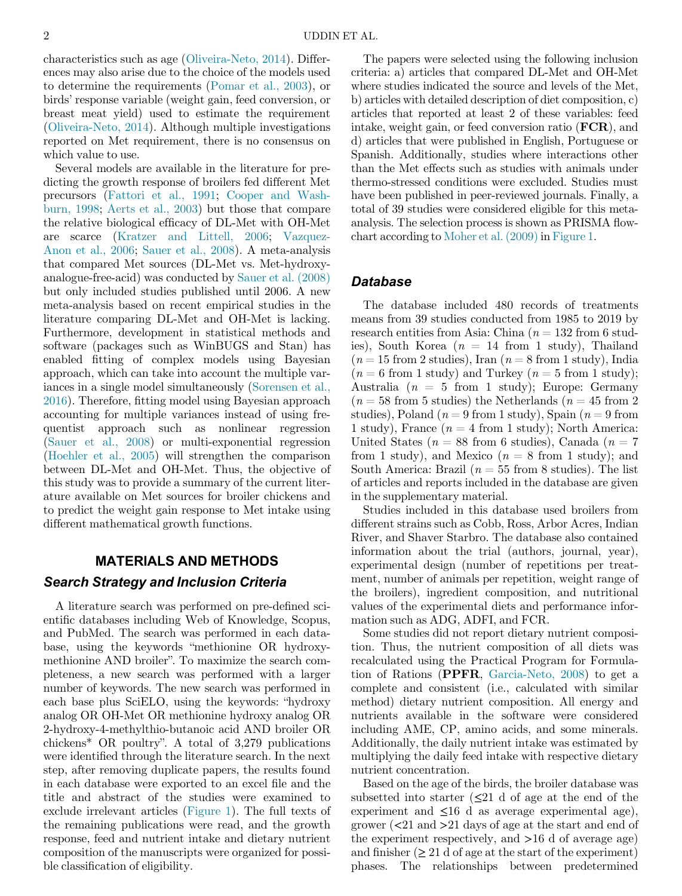characteristics such as age [\(Oliveira-Neto, 2014](#page-9-5)). Differences may also arise due to the choice of the models used to determine the requirements ([Pomar et al., 2003\)](#page-9-6), or birds' response variable (weight gain, feed conversion, or breast meat yield) used to estimate the requirement ([Oliveira-Neto, 2014](#page-9-5)). Although multiple investigations reported on Met requirement, there is no consensus on which value to use.

Several models are available in the literature for predicting the growth response of broilers fed different Met precursors [\(Fattori et al., 1991;](#page-8-2) [Cooper and Wash](#page-8-3)[burn, 1998;](#page-8-3) [Aerts et al., 2003](#page-8-4)) but those that compare the relative biological efficacy of DL-Met with OH-Met are scarce ([Kratzer and Littell, 2006;](#page-8-5) [Vazquez-](#page-9-7)[Anon et al., 2006;](#page-9-7) [Sauer et al., 2008](#page-9-1)). A meta-analysis that compared Met sources (DL-Met vs. Met-hydroxyanalogue-free-acid) was conducted by [Sauer et al. \(2008\)](#page-9-1) but only included studies published until 2006. A new meta-analysis based on recent empirical studies in the literature comparing DL-Met and OH-Met is lacking. Furthermore, development in statistical methods and software (packages such as WinBUGS and Stan) has enabled fitting of complex models using Bayesian approach, which can take into account the multiple variances in a single model simultaneously ([Sorensen et al.,](#page-9-8) [2016\)](#page-9-8). Therefore, fitting model using Bayesian approach accounting for multiple variances instead of using frequentist approach such as nonlinear regression ([Sauer et al., 2008](#page-9-1)) or multi-exponential regression ([Hoehler et al., 2005](#page-8-6)) will strengthen the comparison between DL-Met and OH-Met. Thus, the objective of this study was to provide a summary of the current literature available on Met sources for broiler chickens and to predict the weight gain response to Met intake using different mathematical growth functions.

#### MATERIALS AND METHODS

### Search Strategy and Inclusion Criteria

A literature search was performed on pre-defined scientific databases including Web of Knowledge, Scopus, and PubMed. The search was performed in each database, using the keywords "methionine OR hydroxymethionine AND broiler". To maximize the search completeness, a new search was performed with a larger number of keywords. The new search was performed in each base plus SciELO, using the keywords: "hydroxy analog OR OH-Met OR methionine hydroxy analog OR 2-hydroxy-4-methylthio-butanoic acid AND broiler OR chickens\* OR poultry". A total of 3,279 publications were identified through the literature search. In the next step, after removing duplicate papers, the results found in each database were exported to an excel file and the title and abstract of the studies were examined to exclude irrelevant articles ([Figure 1](#page-2-0)). The full texts of the remaining publications were read, and the growth response, feed and nutrient intake and dietary nutrient composition of the manuscripts were organized for possible classification of eligibility.

The papers were selected using the following inclusion criteria: a) articles that compared DL-Met and OH-Met where studies indicated the source and levels of the Met, b) articles with detailed description of diet composition, c) articles that reported at least 2 of these variables: feed intake, weight gain, or feed conversion ratio (FCR), and d) articles that were published in English, Portuguese or Spanish. Additionally, studies where interactions other than the Met effects such as studies with animals under thermo-stressed conditions were excluded. Studies must have been published in peer-reviewed journals. Finally, a total of 39 studies were considered eligible for this metaanalysis. The selection process is shown as PRISMA flowchart according to Moher et al.  $(2009)$  in [Figure 1.](#page-2-0)

## Database

The database included 480 records of treatments means from 39 studies conducted from 1985 to 2019 by research entities from Asia: China ( $n = 132$  from 6 studies), South Korea ( $n = 14$  from 1 study), Thailand  $(n = 15$  from 2 studies), Iran  $(n = 8$  from 1 study), India  $(n = 6$  from 1 study) and Turkey  $(n = 5$  from 1 study); Australia ( $n = 5$  from 1 study); Europe: Germany  $(n = 58$  from 5 studies) the Netherlands  $(n = 45$  from 2 studies), Poland ( $n = 9$  from 1 study), Spain ( $n = 9$  from 1 study), France ( $n = 4$  from 1 study); North America: United States ( $n = 88$  from 6 studies), Canada ( $n = 7$ from 1 study), and Mexico  $(n = 8$  from 1 study); and South America: Brazil ( $n = 55$  from 8 studies). The list of articles and reports included in the database are given in the supplementary material.

Studies included in this database used broilers from different strains such as Cobb, Ross, Arbor Acres, Indian River, and Shaver Starbro. The database also contained information about the trial (authors, journal, year), experimental design (number of repetitions per treatment, number of animals per repetition, weight range of the broilers), ingredient composition, and nutritional values of the experimental diets and performance information such as ADG, ADFI, and FCR.

Some studies did not report dietary nutrient composition. Thus, the nutrient composition of all diets was recalculated using the Practical Program for Formulation of Rations (PPFR, [Garcia-Neto, 2008\)](#page-8-7) to get a complete and consistent (i.e., calculated with similar method) dietary nutrient composition. All energy and nutrients available in the software were considered including AME, CP, amino acids, and some minerals. Additionally, the daily nutrient intake was estimated by multiplying the daily feed intake with respective dietary nutrient concentration.

Based on the age of the birds, the broiler database was subsetted into starter  $(\leq 21$  d of age at the end of the experiment and  $\leq 16$  d as average experimental age), grower (<21 and >21 days of age at the start and end of the experiment respectively, and >16 d of average age) and finisher  $(≥ 21 d$  of age at the start of the experiment) phases. The relationships between predetermined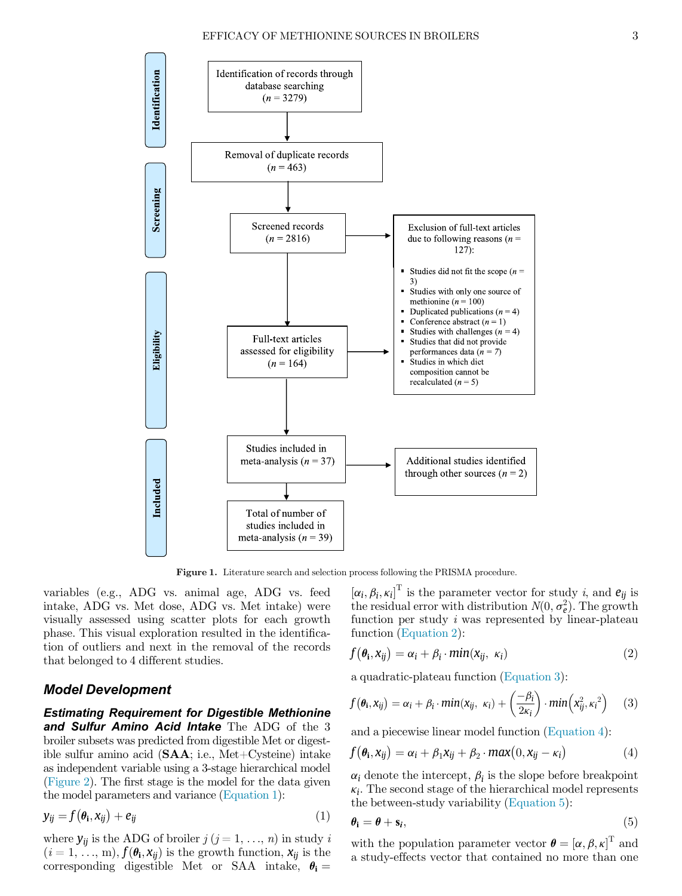<span id="page-2-0"></span>

Figure 1. Literature search and selection process following the PRISMA procedure.

<span id="page-2-2"></span>variables (e.g., ADG vs. animal age, ADG vs. feed intake, ADG vs. Met dose, ADG vs. Met intake) were visually assessed using scatter plots for each growth phase. This visual exploration resulted in the identification of outliers and next in the removal of the records that belonged to 4 different studies.

## <span id="page-2-3"></span>Model Development

<span id="page-2-4"></span>Estimating Requirement for Digestible Methionine and Sulfur Amino Acid Intake The ADG of the 3 broiler subsets was predicted from digestible Met or digestible sulfur amino acid  $(SAA; i.e., Met-Cysteine)$  intake as independent variable using a 3-stage hierarchical model ([Figure 2](#page-3-0)). The first stage is the model for the data given the model parameters and variance [\(Equation 1\)](#page-2-1):

<span id="page-2-5"></span><span id="page-2-1"></span>
$$
y_{ij} = f(\theta_i, x_{ij}) + e_{ij}
$$
 (1)

where  $y_{ij}$  is the ADG of broiler  $j$   $(j = 1, ..., n)$  in study i  $(i = 1, \ldots, m)$ ,  $f(\theta_i, x_{ii})$  is the growth function,  $x_{ii}$  is the corresponding digestible Met or SAA intake,  $\theta_i =$ 

 $[\alpha_i, \beta_i, \kappa_i]^{\text{T}}$  is the parameter vector for study i, and  $e_{ij}$  is the residual error with distribution  $N(0, \sigma_e^2)$ . The growth function per study i was represented by linear-plateau function ([Equation 2\)](#page-2-2):

$$
f(\theta_i, x_{ij}) = \alpha_i + \beta_i \cdot \min(x_{ij}, \ \kappa_i)
$$
 (2)

a quadratic-plateau function ([Equation 3\)](#page-2-3):

$$
f(\theta_i, x_{ij}) = \alpha_i + \beta_i \cdot \min(x_{ij}, \ \kappa_i) + \left(\frac{-\beta_i}{2\kappa_i}\right) \cdot \min\left(x_{ij}^2, \kappa_i^2\right) \tag{3}
$$

and a piecewise linear model function ([Equation 4\)](#page-2-4):

$$
f(\theta_i, x_{ij}) = \alpha_i + \beta_1 x_{ij} + \beta_2 \cdot max(0, x_{ij} - \kappa_i)
$$
 (4)

 $\alpha_i$  denote the intercept,  $\beta_i$  is the slope before breakpoint  $\kappa_i$ . The second stage of the hierarchical model represents the between-study variability ([Equation 5\)](#page-2-5):

$$
\theta_{\mathbf{i}} = \theta + \mathbf{s}_i,\tag{5}
$$

with the population parameter vector  $\boldsymbol{\theta} = [\boldsymbol{\alpha}, \boldsymbol{\beta}, \kappa]^T$  and a study-effects vector that contained no more than one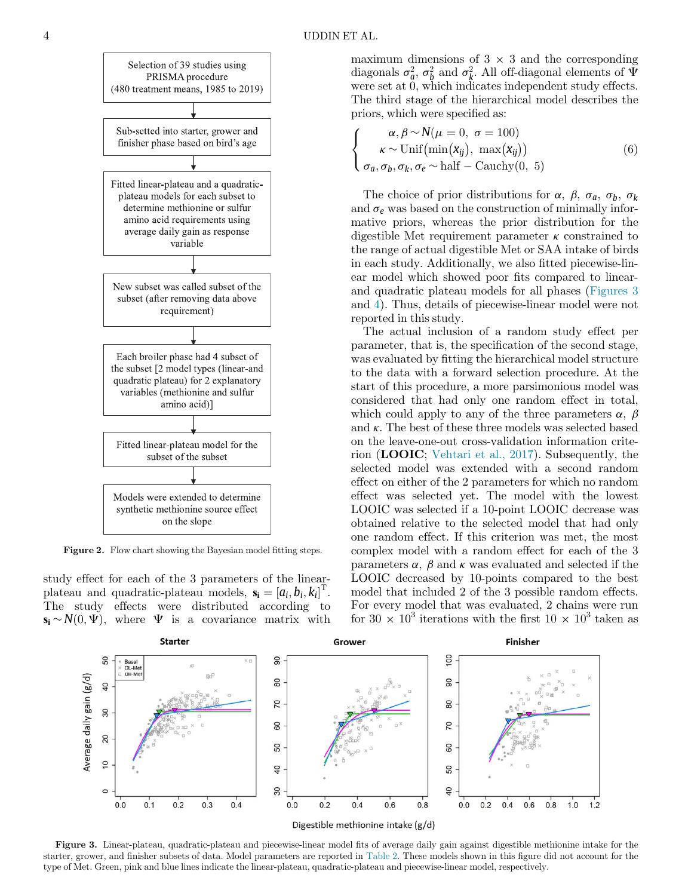<span id="page-3-2"></span><span id="page-3-0"></span>

Figure 2. Flow chart showing the Bayesian model fitting steps.

<span id="page-3-1"></span>study effect for each of the 3 parameters of the linearplateau and quadratic-plateau models,  $\mathbf{s_i} = [a_i, b_i, k_i]^T$ . The study effects were distributed according to  $\mathbf{s}_i \sim N(0, \Psi)$ , where  $\Psi$  is a covariance matrix with maximum dimensions of  $3 \times 3$  and the corresponding diagonals  $\sigma_a^2$ ,  $\sigma_b^2$  and  $\sigma_k^2$ . All off-diagonal elements of  $\Psi$ were set at 0, which indicates independent study effects. The third stage of the hierarchical model describes the priors, which were specified as:

$$
\begin{cases}\n\alpha, \beta \sim N(\mu = 0, \ \sigma = 100) \\
\kappa \sim \text{Unif}\left(\min(\mathbf{x}_{ij}), \ \max(\mathbf{x}_{ij})\right) \\
\sigma_a, \sigma_b, \sigma_k, \sigma_e \sim \text{half} - \text{Cauchy}(0, \ 5)\n\end{cases}
$$
\n(6)

The choice of prior distributions for  $\alpha$ ,  $\beta$ ,  $\sigma_a$ ,  $\sigma_b$ ,  $\sigma_k$ and  $\sigma_e$  was based on the construction of minimally informative priors, whereas the prior distribution for the digestible Met requirement parameter  $\kappa$  constrained to the range of actual digestible Met or SAA intake of birds in each study. Additionally, we also fitted piecewise-linear model which showed poor fits compared to linearand quadratic plateau models for all phases ([Figures 3](#page-3-1) and [4](#page-4-0)). Thus, details of piecewise-linear model were not reported in this study.

The actual inclusion of a random study effect per parameter, that is, the specification of the second stage, was evaluated by fitting the hierarchical model structure to the data with a forward selection procedure. At the start of this procedure, a more parsimonious model was considered that had only one random effect in total, which could apply to any of the three parameters  $\alpha$ ,  $\beta$ and  $\kappa$ . The best of these three models was selected based on the leave-one-out cross-validation information criterion (LOOIC; [Vehtari et al., 2017](#page-9-10)). Subsequently, the selected model was extended with a second random effect on either of the 2 parameters for which no random effect was selected yet. The model with the lowest LOOIC was selected if a 10-point LOOIC decrease was obtained relative to the selected model that had only one random effect. If this criterion was met, the most complex model with a random effect for each of the 3 parameters  $\alpha$ ,  $\beta$  and  $\kappa$  was evaluated and selected if the LOOIC decreased by 10-points compared to the best model that included 2 of the 3 possible random effects. For every model that was evaluated, 2 chains were run for 30  $\times$  10<sup>3</sup> iterations with the first 10  $\times$  10<sup>3</sup> taken as



Figure 3. Linear-plateau, quadratic-plateau and piecewise-linear model fits of average daily gain against digestible methionine intake for the starter, grower, and finisher subsets of data. Model parameters are reported in [Table 2](#page-5-0). These models shown in this figure did not account for the type of Met. Green, pink and blue lines indicate the linear-plateau, quadratic-plateau and piecewise-linear model, respectively.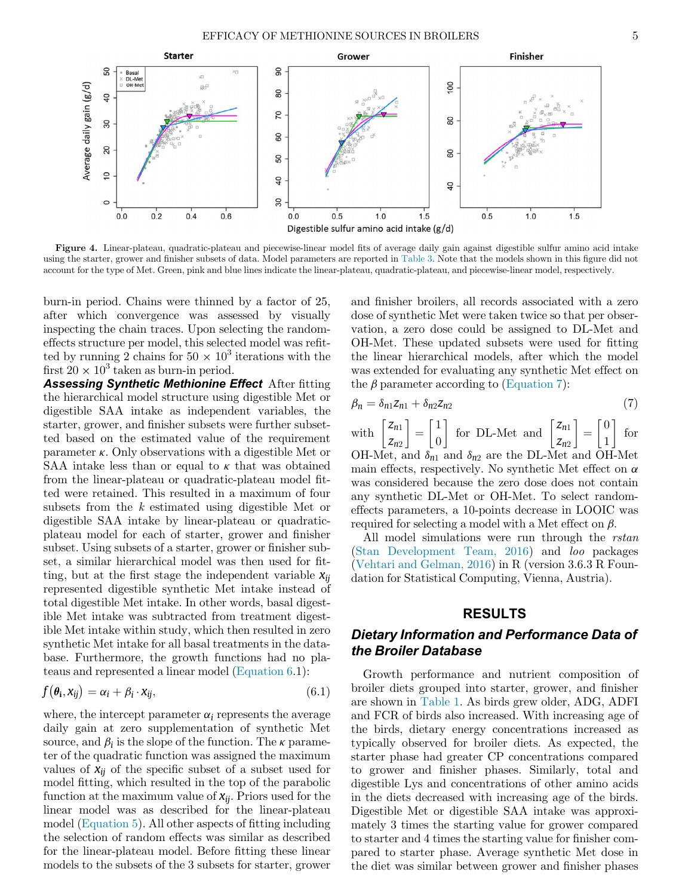<span id="page-4-0"></span>

Figure 4. Linear-plateau, quadratic-plateau and piecewise-linear model fits of average daily gain against digestible sulfur amino acid intake using the starter, grower and finisher subsets of data. Model parameters are reported in [Table 3.](#page-6-0) Note that the models shown in this figure did not account for the type of Met. Green, pink and blue lines indicate the linear-plateau, quadratic-plateau, and piecewise-linear model, respectively.

burn-in period. Chains were thinned by a factor of 25, after which convergence was assessed by visually inspecting the chain traces. Upon selecting the randomeffects structure per model, this selected model was refitted by running 2 chains for  $50 \times 10^3$  iterations with the first  $20 \times 10^3$  taken as burn-in period.

<span id="page-4-1"></span>**Assessing Synthetic Methionine Effect** After fitting the hierarchical model structure using digestible Met or digestible SAA intake as independent variables, the starter, grower, and finisher subsets were further subsetted based on the estimated value of the requirement parameter  $\kappa$ . Only observations with a digestible Met or SAA intake less than or equal to  $\kappa$  that was obtained from the linear-plateau or quadratic-plateau model fitted were retained. This resulted in a maximum of four subsets from the k estimated using digestible Met or digestible SAA intake by linear-plateau or quadraticplateau model for each of starter, grower and finisher subset. Using subsets of a starter, grower or finisher subset, a similar hierarchical model was then used for fitting, but at the first stage the independent variable  $x_{ii}$ represented digestible synthetic Met intake instead of total digestible Met intake. In other words, basal digestible Met intake was subtracted from treatment digestible Met intake within study, which then resulted in zero synthetic Met intake for all basal treatments in the database. Furthermore, the growth functions had no plateaus and represented a linear model ([Equation 6.](#page-3-2)1):

$$
f(\theta_{\mathbf{i}}, x_{ij}) = \alpha_{i} + \beta_{i} \cdot x_{ij}, \qquad (6.1)
$$

where, the intercept parameter  $\alpha_i$  represents the average daily gain at zero supplementation of synthetic Met source, and  $\beta_i$  is the slope of the function. The  $\kappa$  parameter of the quadratic function was assigned the maximum values of  $x_{ii}$  of the specific subset of a subset used for model fitting, which resulted in the top of the parabolic function at the maximum value of  $x_{ii}$ . Priors used for the linear model was as described for the linear-plateau model [\(Equation 5](#page-2-5)). All other aspects of fitting including the selection of random effects was similar as described for the linear-plateau model. Before fitting these linear models to the subsets of the 3 subsets for starter, grower and finisher broilers, all records associated with a zero dose of synthetic Met were taken twice so that per observation, a zero dose could be assigned to DL-Met and OH-Met. These updated subsets were used for fitting the linear hierarchical models, after which the model was extended for evaluating any synthetic Met effect on the  $\beta$  parameter according to [\(Equation 7](#page-4-1)):

$$
\beta_n = \delta_{n1} Z_{n1} + \delta_{n2} Z_{n2} \tag{7}
$$

with  $\begin{bmatrix} z_{n1} \\ z \end{bmatrix}$  $\begin{bmatrix} z_{n1} \\ z_{n2} \end{bmatrix} = \begin{bmatrix} 1 \\ 0 \end{bmatrix}$  for DL-Met and  $\begin{bmatrix} z_{n1} \\ z_{n2} \end{bmatrix}$  $\begin{bmatrix} z_{n1} \\ z_{n2} \end{bmatrix} = \begin{bmatrix} 0 \\ 1 \end{bmatrix}$  $\begin{bmatrix} 0 \\ 1 \end{bmatrix}$  for OH-Met, and  $\delta_{n1}$  and  $\delta_{n2}$  are the DL-Met and OH-Met main effects, respectively. No synthetic Met effect on  $\alpha$ was considered because the zero dose does not contain any synthetic DL-Met or OH-Met. To select randomeffects parameters, a 10-points decrease in LOOIC was required for selecting a model with a Met effect on  $\beta$ .

All model simulations were run through the *rstan* ([Stan Development Team, 2016](#page-9-11)) and loo packages ([Vehtari and Gelman, 2016](#page-9-12)) in R (version 3.6.3 R Foundation for Statistical Computing, Vienna, Austria).

### RESULTS

## Dietary Information and Performance Data of the Broiler Database

Growth performance and nutrient composition of broiler diets grouped into starter, grower, and finisher are shown in [Table 1.](#page-5-1) As birds grew older, ADG, ADFI and FCR of birds also increased. With increasing age of the birds, dietary energy concentrations increased as typically observed for broiler diets. As expected, the starter phase had greater CP concentrations compared to grower and finisher phases. Similarly, total and digestible Lys and concentrations of other amino acids in the diets decreased with increasing age of the birds. Digestible Met or digestible SAA intake was approximately 3 times the starting value for grower compared to starter and 4 times the starting value for finisher compared to starter phase. Average synthetic Met dose in the diet was similar between grower and finisher phases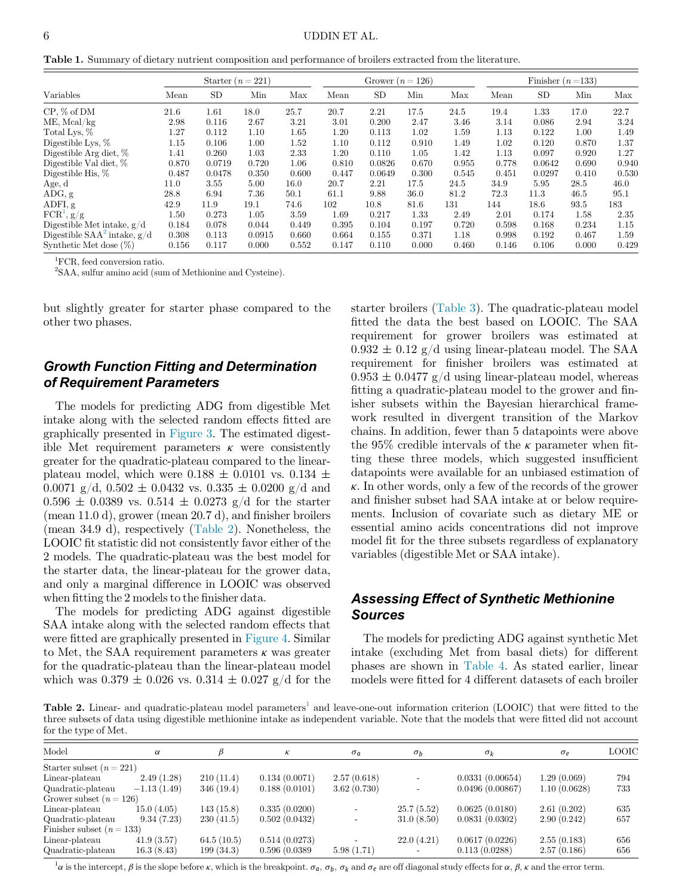<span id="page-5-1"></span>Table 1. Summary of dietary nutrient composition and performance of broilers extracted from the literature.

|                                          | Starter $(n=221)$ |           |        | Grower $(n=126)$ |       |           | Finisher $(n=133)$ |       |       |           |       |       |
|------------------------------------------|-------------------|-----------|--------|------------------|-------|-----------|--------------------|-------|-------|-----------|-------|-------|
| Variables                                | Mean              | <b>SD</b> | Min    | Max              | Mean  | <b>SD</b> | Min                | Max   | Mean  | <b>SD</b> | Min   | Max   |
| $CP, \%$ of DM                           | 21.6              | 1.61      | 18.0   | 25.7             | 20.7  | 2.21      | 17.5               | 24.5  | 19.4  | 1.33      | 17.0  | 22.7  |
| $ME$ , Mcal/kg                           | 2.98              | 0.116     | 2.67   | 3.21             | 3.01  | 0.200     | 2.47               | 3.46  | 3.14  | 0.086     | 2.94  | 3.24  |
| Total Lys, %                             | 1.27              | 0.112     | 1.10   | 1.65             | 1.20  | 0.113     | 1.02               | 1.59  | 1.13  | 0.122     | 1.00  | 1.49  |
| Digestible Lys, $%$                      | 1.15              | 0.106     | 1.00   | 1.52             | 1.10  | 0.112     | 0.910              | 1.49  | 1.02  | 0.120     | 0.870 | 1.37  |
| Digestible Arg diet, $%$                 | 1.41              | 0.260     | 1.03   | 2.33             | 1.20  | 0.110     | $1.05\,$           | 1.42  | 1.13  | 0.097     | 0.920 | 1.27  |
| Digestible Val diet, %                   | 0.870             | 0.0719    | 0.720  | 1.06             | 0.810 | 0.0826    | 0.670              | 0.955 | 0.778 | 0.0642    | 0.690 | 0.940 |
| Digestible His, $%$                      | 0.487             | 0.0478    | 0.350  | 0.600            | 0.447 | 0.0649    | 0.300              | 0.545 | 0.451 | 0.0297    | 0.410 | 0.530 |
| Age, d                                   | 11.0              | 3.55      | 5.00   | 16.0             | 20.7  | 2.21      | 17.5               | 24.5  | 34.9  | 5.95      | 28.5  | 46.0  |
| ADG, g                                   | 28.8              | 6.94      | 7.36   | 50.1             | 61.1  | 9.88      | 36.0               | 81.2  | 72.3  | 11.3      | 46.5  | 95.1  |
| ADFI, g                                  | 42.9              | 11.9      | 19.1   | 74.6             | 102   | 10.8      | 81.6               | 131   | 144   | 18.6      | 93.5  | 183   |
| $\mathrm{FCR}^1,\,\mathrm{g}/\mathrm{g}$ | 1.50              | 0.273     | 1.05   | 3.59             | 1.69  | 0.217     | 1.33               | 2.49  | 2.01  | 0.174     | 1.58  | 2.35  |
| Digestible Met intake, $g/d$             | 0.184             | 0.078     | 0.044  | 0.449            | 0.395 | 0.104     | 0.197              | 0.720 | 0.598 | 0.168     | 0.234 | 1.15  |
| Digestible $SAA^2$ intake, $g/d$         | 0.308             | 0.113     | 0.0915 | 0.660            | 0.664 | 0.155     | 0.371              | 1.18  | 0.998 | 0.192     | 0.467 | 1.59  |
| Synthetic Met dose $(\%)$                | 0.156             | 0.117     | 0.000  | 0.552            | 0.147 | 0.110     | 0.000              | 0.460 | 0.146 | 0.106     | 0.000 | 0.429 |

<sup>1</sup>FCR, feed conversion ratio.

<span id="page-5-2"></span>2 SAA, sulfur amino acid (sum of Methionine and Cysteine).

but slightly greater for starter phase compared to the other two phases.

## Growth Function Fitting and Determination of Requirement Parameters

The models for predicting ADG from digestible Met intake along with the selected random effects fitted are graphically presented in [Figure 3.](#page-3-1) The estimated digestible Met requirement parameters  $\kappa$  were consistently greater for the quadratic-plateau compared to the linearplateau model, which were  $0.188 \pm 0.0101$  vs.  $0.134 \pm 0.0101$ 0.0071 g/d,  $0.502 \pm 0.0432$  vs.  $0.335 \pm 0.0200$  g/d and  $0.596 \pm 0.0389$  vs.  $0.514 \pm 0.0273$  g/d for the starter (mean 11.0 d), grower (mean 20.7 d), and finisher broilers (mean 34.9 d), respectively [\(Table 2](#page-5-0)). Nonetheless, the LOOIC fit statistic did not consistently favor either of the 2 models. The quadratic-plateau was the best model for the starter data, the linear-plateau for the grower data, and only a marginal difference in LOOIC was observed when fitting the 2 models to the finisher data.

The models for predicting ADG against digestible SAA intake along with the selected random effects that were fitted are graphically presented in [Figure 4](#page-4-0). Similar to Met, the SAA requirement parameters  $\kappa$  was greater for the quadratic-plateau than the linear-plateau model which was  $0.379 \pm 0.026$  vs.  $0.314 \pm 0.027$  g/d for the starter broilers [\(Table 3\)](#page-6-0). The quadratic-plateau model fitted the data the best based on LOOIC. The SAA requirement for grower broilers was estimated at  $0.932 \pm 0.12$  g/d using linear-plateau model. The SAA requirement for finisher broilers was estimated at  $0.953 \pm 0.0477$  g/d using linear-plateau model, whereas fitting a quadratic-plateau model to the grower and finisher subsets within the Bayesian hierarchical framework resulted in divergent transition of the Markov chains. In addition, fewer than 5 datapoints were above the 95% credible intervals of the  $\kappa$  parameter when fitting these three models, which suggested insufficient datapoints were available for an unbiased estimation of  $\kappa$ . In other words, only a few of the records of the grower and finisher subset had SAA intake at or below requirements. Inclusion of covariate such as dietary ME or essential amino acids concentrations did not improve model fit for the three subsets regardless of explanatory variables (digestible Met or SAA intake).

## Assessing Effect of Synthetic Methionine Sources

The models for predicting ADG against synthetic Met intake (excluding Met from basal diets) for different phases are shown in [Table 4](#page-6-1). As stated earlier, linear models were fitted for 4 different datasets of each broiler

<span id="page-5-0"></span>**Table 2.** Linear- and quadratic-plateau model parameters<sup>[1](#page-5-3)</sup> and leave-one-out information criterion (LOOIC) that were fitted to the three subsets of data using digestible methionine intake as independent variable. Note that the models that were fitted did not account for the type of Met.

| Model                       | $\alpha$      |            | к             | $\sigma_a$  | $\sigma_b$ | $\sigma_k$      | $\sigma_e$   | <b>LOOIC</b> |
|-----------------------------|---------------|------------|---------------|-------------|------------|-----------------|--------------|--------------|
| Starter subset $(n = 221)$  |               |            |               |             |            |                 |              |              |
| Linear-plateau              | 2.49(1.28)    | 210(11.4)  | 0.134(0.0071) | 2.57(0.618) |            | 0.0331(0.00654) | 1.29(0.069)  | 794          |
| Quadratic-plateau           | $-1.13(1.49)$ | 346(19.4)  | 0.188(0.0101) | 3.62(0.730) |            | 0.0496(0.00867) | 1.10(0.0628) | 733          |
| Grower subset $(n = 126)$   |               |            |               |             |            |                 |              |              |
| Linear-plateau              | 15.0(4.05)    | 143(15.8)  | 0.335(0.0200) |             | 25.7(5.52) | 0.0625(0.0180)  | 2.61(0.202)  | 635          |
| Quadratic-plateau           | 9.34(7.23)    | 230(41.5)  | 0.502(0.0432) |             | 31.0(8.50) | 0.0831(0.0302)  | 2.90(0.242)  | 657          |
| Finisher subset $(n = 133)$ |               |            |               |             |            |                 |              |              |
| Linear-plateau              | 41.9(3.57)    | 64.5(10.5) | 0.514(0.0273) |             | 22.0(4.21) | 0.0617(0.0226)  | 2.55(0.183)  | 656          |
| Quadratic-plateau           | 16.3(8.43)    | 199(34.3)  | 0.596(0.0389) | 5.98(1.71)  |            | 0.113(0.0288)   | 2.57(0.186)  | 656          |

<span id="page-5-3"></span> $\alpha$  is the intercept,  $\beta$  is the slope before  $\kappa$ , which is the breakpoint.  $\sigma_a$ ,  $\sigma_b$ ,  $\sigma_k$  and  $\sigma_e$  are off diagonal study effects for  $\alpha$ ,  $\beta$ ,  $\kappa$  and the error term.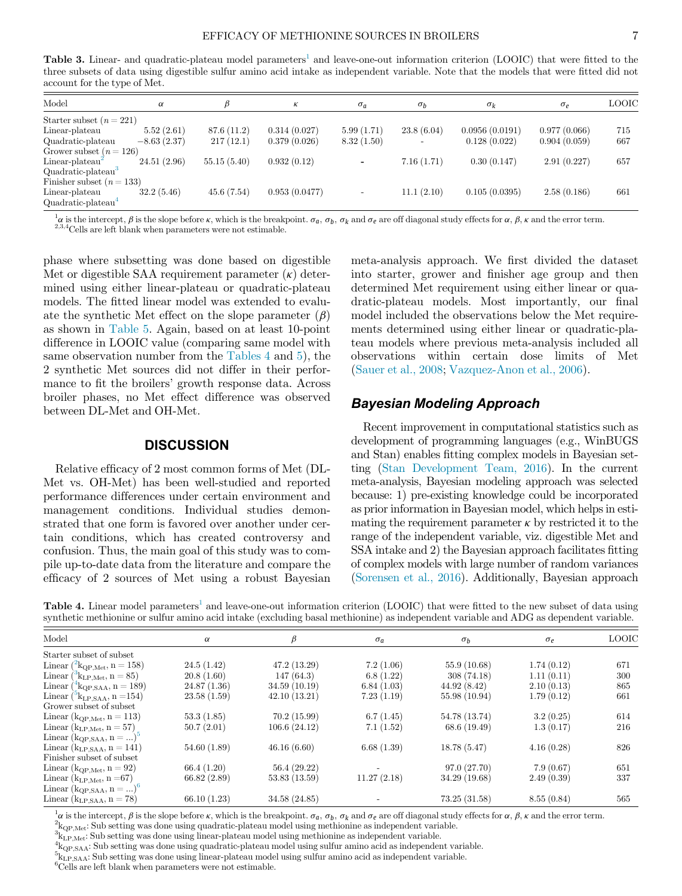<span id="page-6-0"></span>Table 3. Linear- and quadratic-plateau model parameters<sup>[1](#page-6-2)</sup> and leave-one-out information criterion (LOOIC) that were fitted to the three subsets of data using digestible sulfur amino acid intake as independent variable. Note that the models that were fitted did not account for the type of Met.

| <b>LOOIC</b> |
|--------------|
|              |
| 715          |
| 667          |
|              |
| 657          |
|              |
|              |
| 661          |
|              |
|              |

<span id="page-6-2"></span> $\frac{1}{2} \alpha$  is the intercept,  $\beta$  is the slope before  $\kappa$ , which is the breakpoint.  $\sigma_a$ ,  $\sigma_b$ ,  $\sigma_k$  and  $\sigma_e$  are off diagonal study effects for  $\alpha$ ,  $\beta$ ,  $\kappa$  and the error term. <sup>2,3,4</sup>Cells are left blank when parameters were not estimable.

phase where subsetting was done based on digestible Met or digestible SAA requirement parameter  $(\kappa)$  determined using either linear-plateau or quadratic-plateau models. The fitted linear model was extended to evaluate the synthetic Met effect on the slope parameter  $(\beta)$ as shown in [Table 5](#page-7-0). Again, based on at least 10-point difference in LOOIC value (comparing same model with same observation number from the [Tables 4](#page-6-1) and [5\)](#page-7-0), the 2 synthetic Met sources did not differ in their performance to fit the broilers' growth response data. Across broiler phases, no Met effect difference was observed between DL-Met and OH-Met.

### **DISCUSSION**

Relative efficacy of 2 most common forms of Met (DL-Met vs. OH-Met) has been well-studied and reported performance differences under certain environment and management conditions. Individual studies demonstrated that one form is favored over another under certain conditions, which has created controversy and confusion. Thus, the main goal of this study was to compile up-to-date data from the literature and compare the efficacy of 2 sources of Met using a robust Bayesian meta-analysis approach. We first divided the dataset into starter, grower and finisher age group and then determined Met requirement using either linear or quadratic-plateau models. Most importantly, our final model included the observations below the Met requirements determined using either linear or quadratic-plateau models where previous meta-analysis included all observations within certain dose limits of Met ([Sauer et al., 2008](#page-9-1); [Vazquez-Anon et al., 2006](#page-9-7)).

## Bayesian Modeling Approach

Recent improvement in computational statistics such as development of programming languages (e.g., WinBUGS and Stan) enables fitting complex models in Bayesian setting [\(Stan Development Team, 2016](#page-9-11)). In the current meta-analysis, Bayesian modeling approach was selected because: 1) pre-existing knowledge could be incorporated as prior information in Bayesian model, which helps in estimating the requirement parameter  $\kappa$  by restricted it to the range of the independent variable, viz. digestible Met and SSA intake and 2) the Bayesian approach facilitates fitting of complex models with large number of random variances ([Sorensen et al., 2016\)](#page-9-8). Additionally, Bayesian approach

<span id="page-6-1"></span>Table 4. Linear model parameters<sup>[1](#page-6-3)</sup> and leave-one-out information criterion (LOOIC) that were fitted to the new subset of data using synthetic methionine or sulfur amino acid intake (excluding basal methionine) as independent variable and ADG as dependent variable.

| Model                                                | $\alpha$    | β             | $\sigma_a$  | $\sigma_b$    | $\sigma_e$ | <b>LOOIC</b> |
|------------------------------------------------------|-------------|---------------|-------------|---------------|------------|--------------|
| Starter subset of subset                             |             |               |             |               |            |              |
| Linear $\binom{2}{3}$ k <sub>QP,Met</sub> , n = 158) | 24.5(1.42)  | 47.2(13.29)   | 7.2(1.06)   | 55.9 (10.68)  | 1.74(0.12) | 671          |
| Linear $({}^{3}k_{LP,Met}, n = 85)$                  | 20.8(1.60)  | 147(64.3)     | 6.8(1.22)   | 308(74.18)    | 1.11(0.11) | 300          |
| Linear $({}^{4}_{2}k_{QP,SAA}, n=189)$               | 24.87(1.36) | 34.59(10.19)  | 6.84(1.03)  | 44.92(8.42)   | 2.10(0.13) | 865          |
| Linear $({}^5k_{LP,SAA}, n=154)$                     | 23.58(1.59) | 42.10(13.21)  | 7.23(1.19)  | 55.98 (10.94) | 1.79(0.12) | 661          |
| Grower subset of subset                              |             |               |             |               |            |              |
| Linear ( $k_{QP,Met}$ , n = 113)                     | 53.3(1.85)  | 70.2(15.99)   | 6.7(1.45)   | 54.78 (13.74) | 3.2(0.25)  | 614          |
| Linear ( $k_{LP, Met}$ , n = 57)                     | 50.7(2.01)  | 106.6(24.12)  | 7.1(1.52)   | 68.6 (19.49)  | 1.3(0.17)  | 216          |
| Linear $(k_{QP,SAA}, n = )$ <sup>5</sup>             |             |               |             |               |            |              |
| Linear ( $k_{LP,SAA}$ , n = 141)                     | 54.60(1.89) | 46.16(6.60)   | 6.68(1.39)  | 18.78(5.47)   | 4.16(0.28) | 826          |
| Finisher subset of subset                            |             |               |             |               |            |              |
| Linear ( $k_{QP,Met}$ , n = 92)                      | 66.4(1.20)  | 56.4(29.22)   |             | 97.0(27.70)   | 7.9(0.67)  | 651          |
| Linear ( $k_{LP,Met}$ , n = 67)                      | 66.82(2.89) | 53.83(13.59)  | 11.27(2.18) | 34.29 (19.68) | 2.49(0.39) | 337          |
| Linear $(k_{QP,\text{SAA}}, n = )$ <sup>6</sup>      |             |               |             |               |            |              |
| Linear ( $k_{LP,SAA}$ , n = 78)                      | 66.10(1.23) | 34.58 (24.85) |             | 73.25(31.58)  | 8.55(0.84) | 565          |
|                                                      |             |               |             |               |            |              |

<span id="page-6-4"></span><span id="page-6-3"></span> $\frac{1}{2}a$  is the intercept,  $\beta$  is the slope before  $\kappa$ , which is the breakpoint.  $\sigma_a$ ,  $\sigma_b$ ,  $\sigma_k$  and  $\sigma_e$  are off diagonal study effects for  $\alpha$ ,  $\beta$ ,  $\kappa$  and the error term.

 $^2\rm{k_{QP,Met}}$  Sub setting was done using quadratic-plateau model using methionine as independent variable.

<span id="page-6-5"></span> $k_{\text{LP-Met}}$ . Sub setting was done using linear-plateau model using methionine as independent variable.

<span id="page-6-6"></span> ${}^4k_{\text{QP},\text{SAA}}$ : Sub setting was done using quadratic-plateau model using sulfur amino acid as independent variable.

<span id="page-6-7"></span> ${}^{5}k_{LP,SA}$ : Sub setting was done using linear-plateau model using sulfur amino acid as independent variable.

<sup>6</sup>Cells are left blank when parameters were not estimable.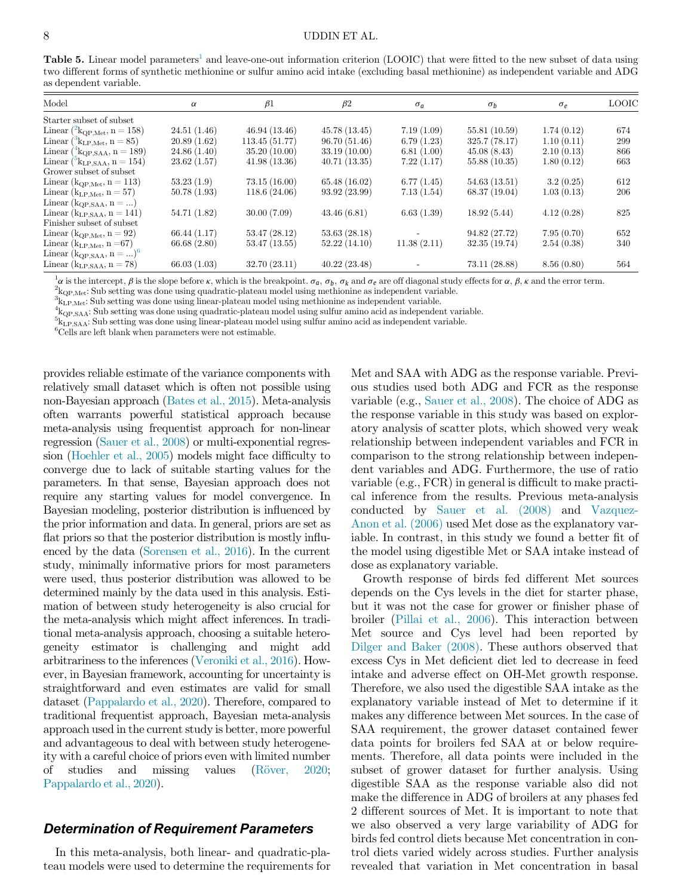<span id="page-7-0"></span>Table 5. Linear model parameters<sup>[1](#page-7-1)</sup> and leave-one-out information criterion (LOOIC) that were fitted to the new subset of data using two different forms of synthetic methionine or sulfur amino acid intake (excluding basal methionine) as independent variable and ADG as dependent variable.

| Model                                                              | $\alpha$    | $\beta$ 1     | $\beta$ 2     | $\sigma_a$  | $\sigma_h$    | $\sigma_e$ | <b>LOOIC</b> |
|--------------------------------------------------------------------|-------------|---------------|---------------|-------------|---------------|------------|--------------|
| Starter subset of subset                                           |             |               |               |             |               |            |              |
| Linear $({}^{2}\text{k}_{\text{QP,Met}}, n = 158)$                 | 24.51(1.46) | 46.94(13.46)  | 45.78(13.45)  | 7.19(1.09)  | 55.81 (10.59) | 1.74(0.12) | 674          |
| Linear $({}^3k_{\text{LP,Met}}, n = 85)$                           | 20.89(1.62) | 113.45(51.77) | 96.70(51.46)  | 6.79(1.23)  | 325.7(78.17)  | 1.10(0.11) | 299          |
| Linear $\binom{4}{1}$ k <sub>QP</sub> , s <sub>AA</sub> , n = 189) | 24.86(1.40) | 35.20(10.00)  | 33.19(10.00)  | 6.81(1.00)  | 45.08(8.43)   | 2.10(0.13) | 866          |
| Linear ( $k_{\text{LP,SAA}}$ , n = 154)                            | 23.62(1.57) | 41.98(13.36)  | 40.71(13.35)  | 7.22(1.17)  | 55.88(10.35)  | 1.80(0.12) | 663          |
| Grower subset of subset                                            |             |               |               |             |               |            |              |
| Linear ( $k_{QP,Met}$ , n = 113)                                   | 53.23(1.9)  | 73.15(16.00)  | 65.48(16.02)  | 6.77(1.45)  | 54.63(13.51)  | 3.2(0.25)  | 612          |
| Linear ( $k_{LP, Met}$ , $n = 57$ )                                | 50.78(1.93) | 118.6(24.06)  | 93.92 (23.99) | 7.13(1.54)  | 68.37(19.04)  | 1.03(0.13) | 206          |
| Linear ( $k_{QP,SAA}, n = $ )                                      |             |               |               |             |               |            |              |
| Linear ( $k_{LP,SAA}$ , n = 141)                                   | 54.71(1.82) | 30.00(7.09)   | 43.46(6.81)   | 6.63(1.39)  | 18.92(5.44)   | 4.12(0.28) | 825          |
| Finisher subset of subset                                          |             |               |               |             |               |            |              |
| Linear ( $k_{QP,Met}$ , n = 92)                                    | 66.44(1.17) | 53.47(28.12)  | 53.63(28.18)  |             | 94.82 (27.72) | 7.95(0.70) | 652          |
| Linear ( $k_{LP, Met}$ , n = 67)                                   | 66.68(2.80) | 53.47(13.55)  | 52.22(14.10)  | 11.38(2.11) | 32.35(19.74)  | 2.54(0.38) | 340          |
| Linear $(k_{QP,SAA}, n = )$ <sup>6</sup>                           |             |               |               |             |               |            |              |
| Linear $(k_{LP.SAA}, n = 78)$                                      | 66.03(1.03) | 32.70(23.11)  | 40.22(23.48)  |             | 73.11 (28.88) | 8.56(0.80) | 564          |

<span id="page-7-1"></span><sup>1</sup> $\alpha$  is the intercept,  $\beta$  is the slope before  $\kappa$ , which is the breakpoint.  $\sigma_a$ ,  $\sigma_b$ ,  $\sigma_k$  and  $\sigma_e$  are off diagonal study effects for  $\alpha$ ,  $\beta$ ,  $\kappa$  and the error term.

<span id="page-7-2"></span> $^2\rm{k_{OP,Met}}$  Sub setting was done using quadratic-plateau model using methionine as independent variable.

<span id="page-7-3"></span> ${}^{3}k_{\text{LP,Met}}$ : Sub setting was done using linear-plateau model using methionine as independent variable.

<span id="page-7-4"></span> $k_{\text{QP,SA}}$ : Sub setting was done using quadratic-plateau model using sulfur amino acid as independent variable.

<span id="page-7-5"></span> ${}^{5}k_{LP,SAA}$ : Sub setting was done using linear-plateau model using sulfur amino acid as independent variable.

<sup>6</sup>Cells are left blank when parameters were not estimable.

provides reliable estimate of the variance components with relatively small dataset which is often not possible using non-Bayesian approach ([Bates et al., 2015\)](#page-8-8). Meta-analysis often warrants powerful statistical approach because meta-analysis using frequentist approach for non-linear regression [\(Sauer et al., 2008](#page-9-1)) or multi-exponential regression [\(Hoehler et al., 2005\)](#page-8-6) models might face difficulty to converge due to lack of suitable starting values for the parameters. In that sense, Bayesian approach does not require any starting values for model convergence. In Bayesian modeling, posterior distribution is influenced by the prior information and data. In general, priors are set as flat priors so that the posterior distribution is mostly influenced by the data [\(Sorensen et al., 2016](#page-9-8)). In the current study, minimally informative priors for most parameters were used, thus posterior distribution was allowed to be determined mainly by the data used in this analysis. Estimation of between study heterogeneity is also crucial for the meta-analysis which might affect inferences. In traditional meta-analysis approach, choosing a suitable heterogeneity estimator is challenging and might add arbitrariness to the inferences ([Veroniki et al., 2016\)](#page-9-13). However, in Bayesian framework, accounting for uncertainty is straightforward and even estimates are valid for small dataset [\(Pappalardo et al., 2020](#page-9-14)). Therefore, compared to traditional frequentist approach, Bayesian meta-analysis approach used in the current study is better, more powerful and advantageous to deal with between study heterogeneity with a careful choice of priors even with limited number of studies and missing values [\(R](#page-9-15)ö[ver, 2020](#page-9-15); [Pappalardo et al., 2020\)](#page-9-14).

## Determination of Requirement Parameters

In this meta-analysis, both linear- and quadratic-plateau models were used to determine the requirements for Met and SAA with ADG as the response variable. Previous studies used both ADG and FCR as the response variable (e.g., [Sauer et al., 2008\)](#page-9-1). The choice of ADG as the response variable in this study was based on exploratory analysis of scatter plots, which showed very weak relationship between independent variables and FCR in comparison to the strong relationship between independent variables and ADG. Furthermore, the use of ratio variable (e.g., FCR) in general is difficult to make practical inference from the results. Previous meta-analysis conducted by [Sauer et al. \(2008\)](#page-9-1) and [Vazquez-](#page-9-7)[Anon et al. \(2006\)](#page-9-7) used Met dose as the explanatory variable. In contrast, in this study we found a better fit of the model using digestible Met or SAA intake instead of dose as explanatory variable.

Growth response of birds fed different Met sources depends on the Cys levels in the diet for starter phase, but it was not the case for grower or finisher phase of broiler ([Pillai et al., 2006\)](#page-9-16). This interaction between Met source and Cys level had been reported by [Dilger and Baker \(2008\)](#page-8-9). These authors observed that excess Cys in Met deficient diet led to decrease in feed intake and adverse effect on OH-Met growth response. Therefore, we also used the digestible SAA intake as the explanatory variable instead of Met to determine if it makes any difference between Met sources. In the case of SAA requirement, the grower dataset contained fewer data points for broilers fed SAA at or below requirements. Therefore, all data points were included in the subset of grower dataset for further analysis. Using digestible SAA as the response variable also did not make the difference in ADG of broilers at any phases fed 2 different sources of Met. It is important to note that we also observed a very large variability of ADG for birds fed control diets because Met concentration in control diets varied widely across studies. Further analysis revealed that variation in Met concentration in basal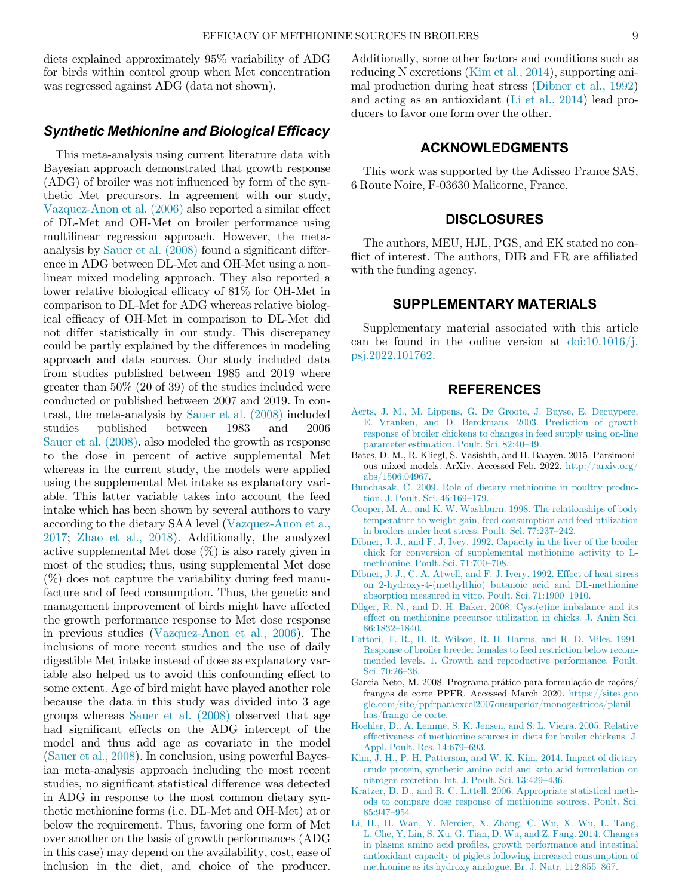diets explained approximately 95% variability of ADG for birds within control group when Met concentration was regressed against ADG (data not shown).

### Synthetic Methionine and Biological Efficacy

<span id="page-8-8"></span><span id="page-8-4"></span>This meta-analysis using current literature data with Bayesian approach demonstrated that growth response (ADG) of broiler was not influenced by form of the synthetic Met precursors. In agreement with our study, [Vazquez-Anon et al. \(2006\)](#page-9-7) also reported a similar effect of DL-Met and OH-Met on broiler performance using multilinear regression approach. However, the metaanalysis by [Sauer et al. \(2008\)](#page-9-1) found a significant difference in ADG between DL-Met and OH-Met using a nonlinear mixed modeling approach. They also reported a lower relative biological efficacy of 81% for OH-Met in comparison to DL-Met for ADG whereas relative biological efficacy of OH-Met in comparison to DL-Met did not differ statistically in our study. This discrepancy could be partly explained by the differences in modeling approach and data sources. Our study included data from studies published between 1985 and 2019 where greater than 50% (20 of 39) of the studies included were conducted or published between 2007 and 2019. In contrast, the meta-analysis by [Sauer et al. \(2008\)](#page-9-1) included studies published between 1983 and 2006 [Sauer et al. \(2008\)](#page-9-1). also modeled the growth as response to the dose in percent of active supplemental Met whereas in the current study, the models were applied using the supplemental Met intake as explanatory variable. This latter variable takes into account the feed intake which has been shown by several authors to vary according to the dietary SAA level [\(Vazquez-Anon et a.,](#page-9-17) [2017;](#page-9-17) [Zhao et al., 2018](#page-9-18)). Additionally, the analyzed active supplemental Met dose (%) is also rarely given in most of the studies; thus, using supplemental Met dose  $(\%)$  does not capture the variability during feed manufacture and of feed consumption. Thus, the genetic and management improvement of birds might have affected the growth performance response to Met dose response in previous studies ([Vazquez-Anon et al., 2006](#page-9-7)). The inclusions of more recent studies and the use of daily digestible Met intake instead of dose as explanatory variable also helped us to avoid this confounding effect to some extent. Age of bird might have played another role because the data in this study was divided into 3 age groups whereas [Sauer et al. \(2008\)](#page-9-1) observed that age had significant effects on the ADG intercept of the model and thus add age as covariate in the model ([Sauer et al., 2008](#page-9-1)). In conclusion, using powerful Bayesian meta-analysis approach including the most recent studies, no significant statistical difference was detected in ADG in response to the most common dietary synthetic methionine forms (i.e. DL-Met and OH-Met) at or below the requirement. Thus, favoring one form of Met over another on the basis of growth performances (ADG in this case) may depend on the availability, cost, ease of inclusion in the diet, and choice of the producer.

Additionally, some other factors and conditions such as reducing N excretions [\(Kim et al., 2014](#page-8-10)), supporting animal production during heat stress ([Dibner et al., 1992\)](#page-8-11) and acting as an antioxidant [\(Li et al., 2014\)](#page-8-12) lead producers to favor one form over the other.

### ACKNOWLEDGMENTS

This work was supported by the Adisseo France SAS, 6 Route Noire, F-03630 Malicorne, France.

### **DISCLOSURES**

The authors, MEU, HJL, PGS, and EK stated no conflict of interest. The authors, DIB and FR are affiliated with the funding agency.

### SUPPLEMENTARY MATERIALS

Supplementary material associated with this article can be found in the online version at  $\frac{d}{dt}$  [doi:10.1016/j.](https://doi.org/10.1016/j.psj.2022.101762) [psj.2022.101762.](https://doi.org/10.1016/j.psj.2022.101762)

## REFERENCES

- [Aerts, J. M., M. Lippens, G. De Groote, J. Buyse, E. Decuypere,](http://refhub.elsevier.com/S0032-5791(22)00067-0/sbref0001) [E. Vranken, and D. Berckmans. 2003. Prediction of growth](http://refhub.elsevier.com/S0032-5791(22)00067-0/sbref0001) [response of broiler chickens to changes in feed supply using on-line](http://refhub.elsevier.com/S0032-5791(22)00067-0/sbref0001) [parameter estimation. Poult. Sci. 82:40](http://refhub.elsevier.com/S0032-5791(22)00067-0/sbref0001)–49.
- Bates, D. M., R. Kliegl, S. Vasishth, and H. Baayen. 2015. Parsimonious mixed models. ArXiv. Accessed Feb. 2022. [http://arxiv.org/](http://arxiv.org/abs/1506.04967) [abs/1506.04967.](http://arxiv.org/abs/1506.04967)
- <span id="page-8-0"></span>[Bunchasak, C. 2009. Role of dietary methionine in poultry produc](http://refhub.elsevier.com/S0032-5791(22)00067-0/sbref0003)[tion. J. Poult. Sci. 46:169](http://refhub.elsevier.com/S0032-5791(22)00067-0/sbref0003)–179.
- <span id="page-8-3"></span>[Cooper, M. A., and K. W. Washburn. 1998. The relationships of body](http://refhub.elsevier.com/S0032-5791(22)00067-0/sbref0004) [temperature to weight gain, feed consumption and feed utilization](http://refhub.elsevier.com/S0032-5791(22)00067-0/sbref0004) [in broilers under heat stress. Poult. Sci. 77:237](http://refhub.elsevier.com/S0032-5791(22)00067-0/sbref0004)–242.
- <span id="page-8-1"></span>[Dibner, J. J., and F. J. Ivey. 1992. Capacity in the liver of the broiler](http://refhub.elsevier.com/S0032-5791(22)00067-0/sbref0006) [chick for conversion of supplemental methionine activity to L](http://refhub.elsevier.com/S0032-5791(22)00067-0/sbref0006)[methionine. Poult. Sci. 71:700](http://refhub.elsevier.com/S0032-5791(22)00067-0/sbref0006)–708.
- <span id="page-8-11"></span>[Dibner, J. J., C. A. Atwell, and F. J. Ivery. 1992. Effect of heat stress](http://refhub.elsevier.com/S0032-5791(22)00067-0/sbref0007) [on 2-hydroxy-4-\(methylthio\) butanoic acid and DL-methionine](http://refhub.elsevier.com/S0032-5791(22)00067-0/sbref0007) [absorption measured in vitro. Poult. Sci. 71:1900](http://refhub.elsevier.com/S0032-5791(22)00067-0/sbref0007)–1910.
- <span id="page-8-9"></span>[Dilger, R. N., and D. H. Baker. 2008. Cyst\(e\)ine imbalance and its](http://refhub.elsevier.com/S0032-5791(22)00067-0/sbref0008) [effect on methionine precursor utilization in chicks. J. Anim Sci.](http://refhub.elsevier.com/S0032-5791(22)00067-0/sbref0008) [86:1832](http://refhub.elsevier.com/S0032-5791(22)00067-0/sbref0008)–1840.
- <span id="page-8-2"></span>[Fattori, T. R., H. R. Wilson, R. H. Harms, and R. D. Miles. 1991.](http://refhub.elsevier.com/S0032-5791(22)00067-0/sbref0009) [Response of broiler breeder females to feed restriction below recom](http://refhub.elsevier.com/S0032-5791(22)00067-0/sbref0009)[mended levels. 1. Growth and reproductive performance. Poult.](http://refhub.elsevier.com/S0032-5791(22)00067-0/sbref0009) [Sci. 70:26](http://refhub.elsevier.com/S0032-5791(22)00067-0/sbref0009)–36.
- <span id="page-8-7"></span>Garcia-Neto, M. 2008. Programa prático para formulação de rações/ frangos de corte PPFR. Accessed March 2020. [https://sites.goo](https://sites.google.com/site/ppfrparaexcel2007ousuperior/monogastricos/planilhas/frango-de-corte) [gle.com/site/ppfrparaexcel2007ousuperior/monogastricos/planil](https://sites.google.com/site/ppfrparaexcel2007ousuperior/monogastricos/planilhas/frango-de-corte) [has/frango-de-corte](https://sites.google.com/site/ppfrparaexcel2007ousuperior/monogastricos/planilhas/frango-de-corte).
- <span id="page-8-6"></span>[Hoehler, D., A. Lemme, S. K. Jensen, and S. L. Vieira. 2005. Relative](http://refhub.elsevier.com/S0032-5791(22)00067-0/sbref0011) [effectiveness of methionine sources in diets for broiler chickens. J.](http://refhub.elsevier.com/S0032-5791(22)00067-0/sbref0011) [Appl. Poult. Res. 14:679](http://refhub.elsevier.com/S0032-5791(22)00067-0/sbref0011)–693.
- <span id="page-8-10"></span>[Kim, J. H., P. H. Patterson, and W. K. Kim. 2014. Impact of dietary](http://refhub.elsevier.com/S0032-5791(22)00067-0/sbref0012) [crude protein, synthetic amino acid and keto acid formulation on](http://refhub.elsevier.com/S0032-5791(22)00067-0/sbref0012) [nitrogen excretion. Int. J. Poult. Sci. 13:429](http://refhub.elsevier.com/S0032-5791(22)00067-0/sbref0012)–436.
- <span id="page-8-5"></span>[Kratzer, D. D., and R. C. Littell. 2006. Appropriate statistical meth](http://refhub.elsevier.com/S0032-5791(22)00067-0/sbref0013)[ods to compare dose response of methionine sources. Poult. Sci.](http://refhub.elsevier.com/S0032-5791(22)00067-0/sbref0013) [85:947](http://refhub.elsevier.com/S0032-5791(22)00067-0/sbref0013)–954.
- <span id="page-8-12"></span>[Li, H., H. Wan, Y. Mercier, X. Zhang, C. Wu, X. Wu, L. Tang,](http://refhub.elsevier.com/S0032-5791(22)00067-0/sbref0014) [L. Che, Y. Lin, S. Xu, G. Tian, D. Wu, and Z. Fang. 2014. Changes](http://refhub.elsevier.com/S0032-5791(22)00067-0/sbref0014) in plasma amino acid profi[les, growth performance and intestinal](http://refhub.elsevier.com/S0032-5791(22)00067-0/sbref0014) [antioxidant capacity of piglets following increased consumption of](http://refhub.elsevier.com/S0032-5791(22)00067-0/sbref0014) [methionine as its hydroxy analogue. Br. J. Nutr. 112:855](http://refhub.elsevier.com/S0032-5791(22)00067-0/sbref0014)–867.